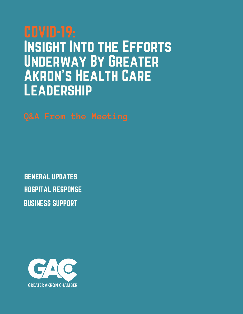# Insight Into the Efforts Underway By Greater Akron's Health Care Leadership

HOSPITAL RESPONSE GENERAL UPDATES BUSINESS SUPPORT

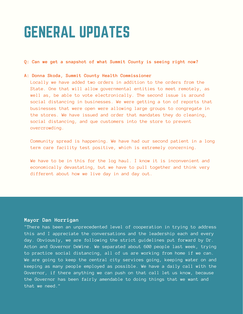### GENERAL UPDATES

**Q: Can we get a snapshot of what Summit County is seeing right now?**

#### **A: Donna Skoda, Summit County Health Commissioner**

Locally we have added two orders in addition to the orders from the State. One that will allow governmental entities to meet remotely, as well as, be able to vote electronically. The second issue is around social distancing in businesses. We were getting a ton of reports that businesses that were open were allowing large groups to congregate in the stores. We have issued and order that mandates they do cleaning, social distancing, and que customers into the store to prevent overcrowding.

Community spread is happening. We have had our second patient in a long term care facility test positive, which is extremely concerning.

We have to be in this for the log haul. I know it is inconvenient and economically devastating, but we have to pull together and think very different about how we live day in and day out.

#### **Mayor Dan Horrigan**

"There has been an unprecedented level of cooperation in trying to address this and I appreciate the conversations and the leadership each and every day. Obviously, we are following the strict guidelines put forward by Dr. Acton and Governor DeWine. We separated about 600 people last week, trying to practice social distancing, all of us are working from home if we can. We are going to keep the central city services going, keeping water on and keeping as many people employed as possible. We have a daily call with the Governor, if there anything we can push on that call let us know, because the Governor has been fairly amendable to doing things that we want and that we need."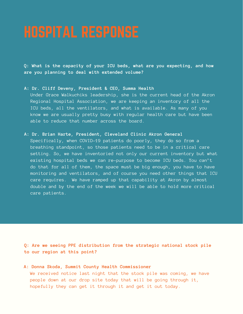**Q: What is the capacity of your ICU beds, what are you expecting, and how are you planning to deal with extended volume?**

**A: Dr. Cliff Deveny, President & CEO, Summa Health**

Under Grace Walkuchiks leadership, she is the current head of the Akron Regional Hospital Association, we are keeping an inventory of all the ICU beds, all the ventilators, and what is available. As many of you know we are usually pretty busy with regular health care but have been able to reduce that number across the board.

**A: Dr. Brian Harte, President, Cleveland Clinic Akron General**

Specifically, when COVID-19 patients do poorly, they do so from a breathing standpoint, so those patients need to be in a critical care setting. So, we have inventoried not only our current inventory but what existing hospital beds we can re-purpose to become ICU beds. You can't do that for all of them, the space must be big enough, you have to have monitoring and ventilators, and of course you need other things that ICU care requires. We have ramped up that capability at Akron by almost double and by the end of the week we will be able to hold more critical care patients.

**Q: Are we seeing PPE distribution from the strategic national stock pile to our region at this point?**

**A: Donna Skoda, Summit County Health Commissioner** We received notice last night that the stock pile was coming, we have people down at our drop site today that will be going through it, hopefully they can get it through it and get it out today.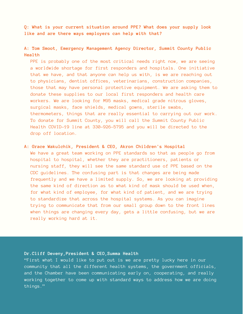**Q: What is your current situation around PPE? What does your supply look like and are there ways employers can help with that?**

**A: Tom Smoot, Emergency Management Agency Director, Summit County Public Health**

PPE is probably one of the most critical needs right now, we are seeing a worldwide shortage for first responders and hospitals. One initiative that we have, and that anyone can help us with, is we are reaching out to physicians, dentist offices, veterinarians, construction companies, those that may have personal protective equipment. We are asking them to donate these supplies to our local first responders and health care workers. We are looking for M95 masks, medical grade nitrous gloves, surgical masks, face shields, medical gowns, sterile swabs, thermometers, things that are really essential to carrying out our work. To donate for Summit County, you will call the Summit County Public Health COVID-19 line at 330-926-5795 and you will be directed to the drop off location.

#### **A: Grace Wakulchik, President & CEO, Akron Children's Hospital**

We have a great team working on PPE standards so that as people go from hospital to hospital, whether they are practitioners, patients or nursing staff, they will see the same standard use of PPE based on the CDC guidelines. The confusing part is that changes are being made frequently and we have a limited supply. So, we are looking at providing the same kind of direction as to what kind of mask should be used when, for what kind of employee, for what kind of patient, and we are trying to standardize that across the hospital systems. As you can imagine trying to communicate that from our small group down to the front lines when things are changing every day, gets a little confusing, but we are really working hard at it.

#### **Dr.Cliff Deveny,President & CEO,Summa Health**

"First what I would like to put out is we are pretty lucky here in our community that all the different health systems, the government officials, and the Chamber have been communicating early on, cooperating, and really working together to come up with standard ways to address how we are doing things."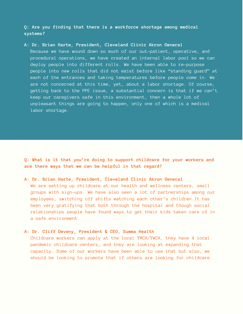#### **Q: Are you finding that there is a workforce shortage among medical systems?**

#### **A: Dr. Brian Harte, President, Cleveland Clinic Akron General**

Because we have wound down so much of our out-patient, operative, and procedural operations, we have created an internal labor pool so we can deploy people into different rolls. We have been able to re-purpose people into new rolls that did not exist before like "standing guard" at each of the entrances and taking temperatures before people come in. We are not concerned at this time, yet, about a labor shortage. Of course, getting back to the PPE issue, a substantial concern is that if we can't keep our caregivers safe in this environment, then a whole lot of unpleasant things are going to happen, only one of which is a medical labor shortage.

**Q: What is it that you're doing to support childcare for your workers and are there ways that we can be helpful in that regard?**

#### **A: Dr. Brian Harte, President, Cleveland Clinic Akron General**

We are setting up childcare at our health and wellness centers, small groups with sign-ups. We have also seen a lot of partnerships among our employees, switching off shifts watching each other's children.It has been very gratifying that both through the hospital and though social relationships people have found ways to get their kids taken care of in a safe environment.

#### **A: Dr. Cliff Deveny, President & CEO, Summa Health**

Childcare workers can apply at the local YMCA/YWCA, they have 4 local pandemic childcare centers, and they are looking at expanding that capacity. Some of our workers have been able to use that but also, we should be looking to promote that if others are looking for childcare.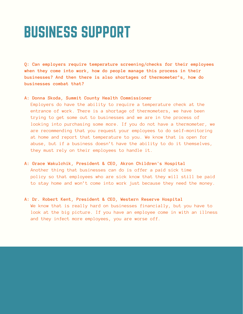## BUSINESS SUPPORT

**Q: Can employers require temperature screening/checks for their employees when they come into work, how do people manage this process in their businesses? And then there is also shortages of thermometer's, how do businesses combat that?**

#### **A: Donna Skoda, Summit County Health Commissioner**

Employers do have the ability to require a temperature check at the entrance of work. There is a shortage of thermometers, we have been trying to get some out to businesses and we are in the process of looking into purchasing some more. If you do not have a thermometer, we are recommending that you request your employees to do self-monitoring at home and report that temperature to you. We know that is open for abuse, but if a business doesn't have the ability to do it themselves, they must rely on their employees to handle it.

- **A: Grace Wakulchik, President & CEO, Akron Children's Hospital** Another thing that businesses can do is offer a paid sick time policy so that employees who are sick know that they will still be paid to stay home and won't come into work just because they need the money.
- **A: Dr. Robert Kent, President & CEO, Western Reserve Hospital** We know that is really hard on businesses financially, but you have to look at the big picture. If you have an employee come in with an illness and they infect more employees, you are worse off.